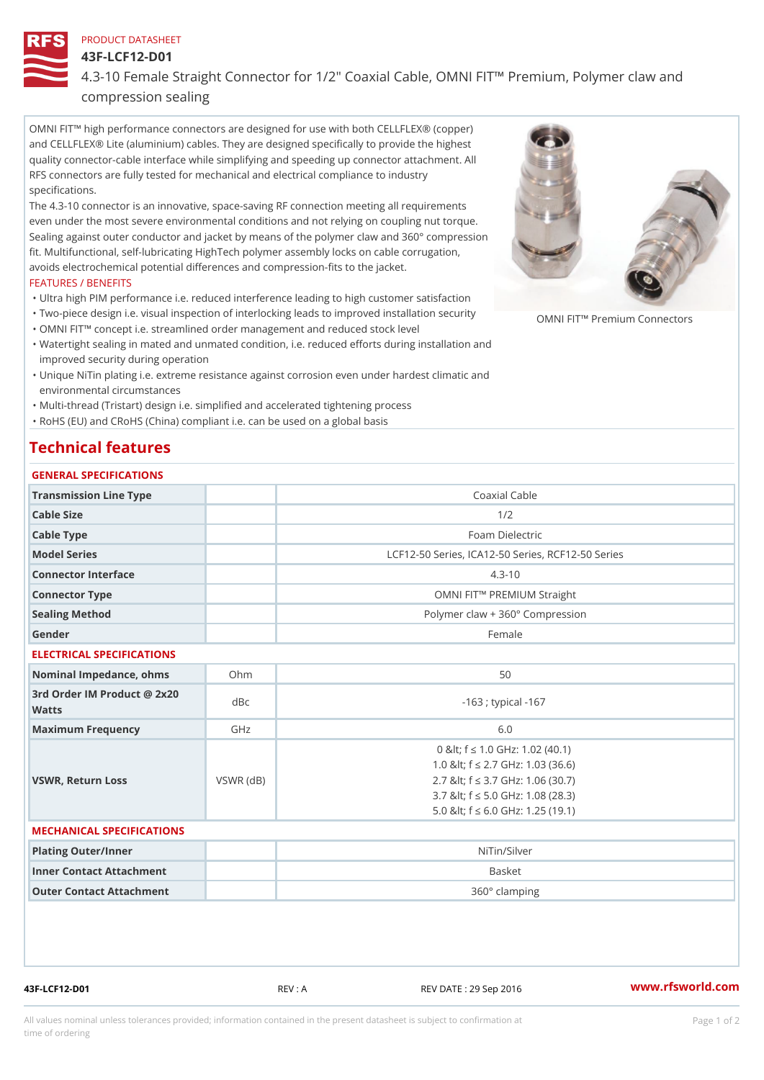### PRODUCT DATASHEET

43F-LCF12-D01

4.3-10 Female Straight Connector for 1/2" Coaxial Cable, OMNI FIT!" P

compression sealing

OMNI FIT!" high performance connectors are designed for use with both CELLFLEX® (copper) and CELLFLEX® Lite (aluminium) cables. They are designed specifically to provide the highest quality connector-cable interface while simplifying and speeding up connector attachment. All RFS connectors are fully tested for mechanical and electrical compliance to industry specifications.

The 4.3-10 connector is an innovative, space-saving RF connection meeting all requirements even under the most severe environmental conditions and not relying on coupling nut torque. Sealing against outer conductor and jacket by means of the polymer claw and 360° compression fit. Multifunctional, self-lubricating HighTech polymer assembly locks on cable corrugation, avoids electrochemical potential differences and compression-fits to the jacket.

### FEATURES / BENEFITS

- "Ultra high PIM performance i.e. reduced interference leading to high customer satisfaction
- "Two-piece design i.e. visual inspection of interlocking leads to improwed ip<sub>l</sub>stallation security clors
- "OMNI FIT!" concept i.e. streamlined order management and reduced stock level
- Watertight sealing in mated and unmated condition, i.e. reduced efforts during installation and " improved security during operation
- Unique NiTin plating i.e. extreme resistance against corrosion even under hardest climatic and " environmental circumstances

"Multi-thread (Tristart) design i.e. simplified and accelerated tightening process

"RoHS (EU) and CRoHS (China) compliant i.e. can be used on a global basis

# Technical features

| GENERAL SPECIFICATIONS                      |                 |                                                                                                                                                                                                 |
|---------------------------------------------|-----------------|-------------------------------------------------------------------------------------------------------------------------------------------------------------------------------------------------|
| Transmission Line Type                      |                 | Coaxial Cable                                                                                                                                                                                   |
| Cable Size                                  |                 | 1/2                                                                                                                                                                                             |
| Cable Type                                  |                 | Foam Dielectric                                                                                                                                                                                 |
| Model Series                                |                 | LCF12-50 Series, ICA12-50 Series, RCF12-50 Serie                                                                                                                                                |
| Connector Interface                         |                 | $4.3 - 10$                                                                                                                                                                                      |
| Connector Type                              |                 | OMNI FIT!" PREMIUM Straight                                                                                                                                                                     |
| Sealing Method                              |                 | Polymer claw + 360° Compression                                                                                                                                                                 |
| Gender                                      |                 | Female                                                                                                                                                                                          |
| ELECTRICAL SPECIFICATIONS                   |                 |                                                                                                                                                                                                 |
| Nominal Impedance, ohins Ohm                |                 | 50                                                                                                                                                                                              |
| 3rd Order IM Product @ 2x20<br>dBc<br>Watts |                 | $-163$ ; typical $-167$                                                                                                                                                                         |
| Maximum Frequency                           | GHz             | 6.0                                                                                                                                                                                             |
| VSWR, Return Loss                           | $VSWR$ ( $dB$ ) | 0 & It; f "d 1.0 GHz: 1.02 (40.1)<br>1.0 & It; f "d 2.7 GHz: 1.03 (36.6)<br>2.7 & It; f "d 3.7 GHz: 1.06 (30.7)<br>3.7 & It; f "d 5.0 GHz: 1.08 (28.3)<br>5.0 & It; f "d 6.0 G H z: 1.25 (19.1) |

### MECHANICAL SPECIFICATIONS

| Plating Outer/Inner      | NiTin/Silver  |
|--------------------------|---------------|
| Inner Contact Attachment | Basket        |
| Outer Contact Attachment | 360° clamping |

43F-LCF12-D01 REV : A REV DATE : 29 Sep 2016 [www.](https://www.rfsworld.com)rfsworld.com